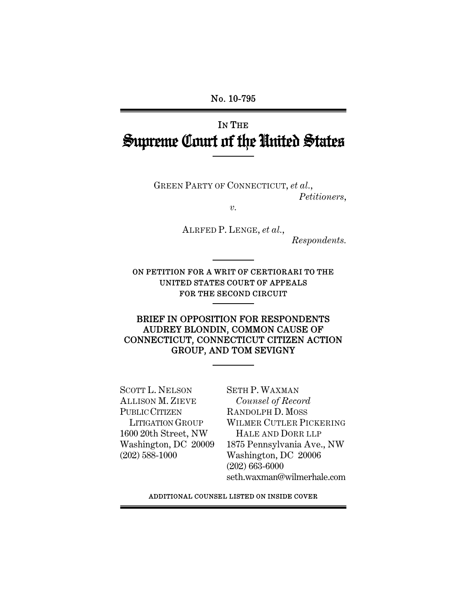No. 10-795

# IN THE Supreme Court of the United States

GREEN PARTY OF CONNECTICUT, *et al.*, *Petitioners*,

*v.* 

ALRFED P. LENGE, *et al.*,

*Respondents.*

ON PETITION FOR A WRIT OF CERTIORARI TO THE UNITED STATES COURT OF APPEALS FOR THE SECOND CIRCUIT

## BRIEF IN OPPOSITION FOR RESPONDENTS AUDREY BLONDIN, COMMON CAUSE OF CONNECTICUT, CONNECTICUT CITIZEN ACTION GROUP, AND TOM SEVIGNY

SCOTT L. NELSON ALLISON M. ZIEVE PUBLIC CITIZEN LITIGATION GROUP 1600 20th Street, NW Washington, DC 20009 (202) 588-1000

SETH P. WAXMAN *Counsel of Record* RANDOLPH D. MOSS WILMER CUTLER PICKERING HALE AND DORR LLP 1875 Pennsylvania Ave., NW Washington, DC 20006 (202) 663-6000 seth.waxman@wilmerhale.com

ADDITIONAL COUNSEL LISTED ON INSIDE COVER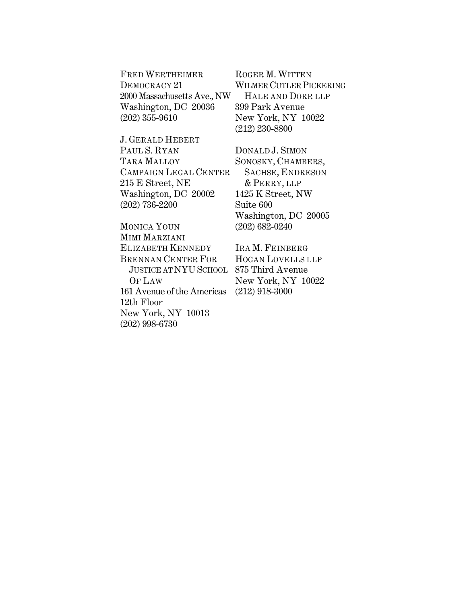| <b>FRED WERTHEIMER</b>      |  |
|-----------------------------|--|
| DEMOCRACY 21                |  |
| 2000 Massachusetts Ave., NW |  |
| Washington, DC 20036        |  |
| $(202)$ 355-9610            |  |

ROGER M. WITTEN WILMER CUTLER PICKERING HALE AND DORR LLP 399 Park Avenue New York, NY 10022 (212) 230-8800

J. GERALD HEBERT PAUL S. RYAN TARA MALLOY CAMPAIGN LEGAL CENTER 215 E Street, NE Washington, DC 20002 (202) 736-2200

MONICA YOUN MIMI MARZIANI ELIZABETH KENNEDY BRENNAN CENTER FOR JUSTICE AT NYUSCHOOL 875 Third Avenue OF LAW 161 Avenue of the Americas 12th Floor New York, NY 10013 (202) 998-6730

DONALD J. SIMON SONOSKY, CHAMBERS, SACHSE, ENDRESON & PERRY, LLP 1425 K Street, NW Suite 600 Washington, DC 20005 (202) 682-0240

IRA M. FEINBERG HOGAN LOVELLS LLP New York, NY 10022 (212) 918-3000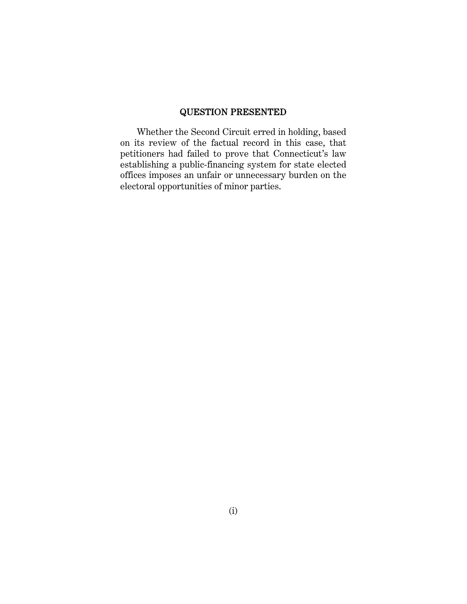## QUESTION PRESENTED

Whether the Second Circuit erred in holding, based on its review of the factual record in this case, that petitioners had failed to prove that Connecticut's law establishing a public-financing system for state elected offices imposes an unfair or unnecessary burden on the electoral opportunities of minor parties.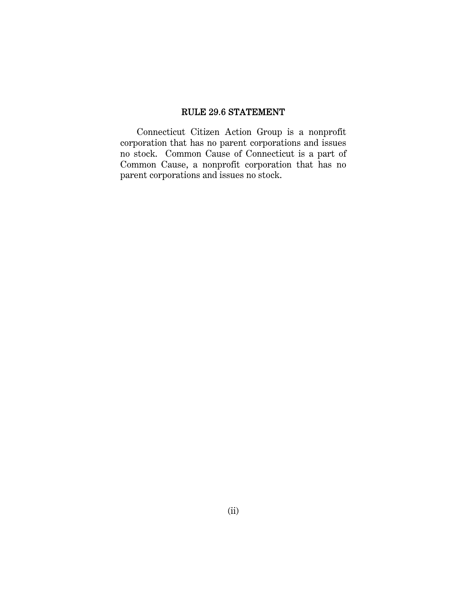## RULE 29.6 STATEMENT

Connecticut Citizen Action Group is a nonprofit corporation that has no parent corporations and issues no stock. Common Cause of Connecticut is a part of Common Cause, a nonprofit corporation that has no parent corporations and issues no stock.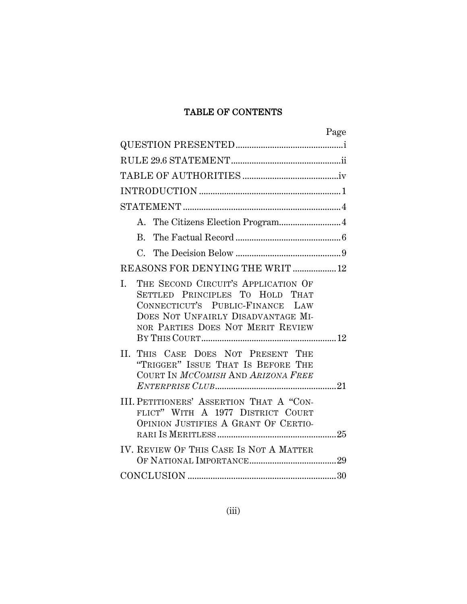## TABLE OF CONTENTS

| Page                                                                                                                                                                                        |
|---------------------------------------------------------------------------------------------------------------------------------------------------------------------------------------------|
|                                                                                                                                                                                             |
|                                                                                                                                                                                             |
|                                                                                                                                                                                             |
|                                                                                                                                                                                             |
|                                                                                                                                                                                             |
|                                                                                                                                                                                             |
| B.                                                                                                                                                                                          |
|                                                                                                                                                                                             |
| REASONS FOR DENYING THE WRIT  12                                                                                                                                                            |
| THE SECOND CIRCUIT'S APPLICATION OF<br>I.<br>SETTLED PRINCIPLES TO HOLD THAT<br>CONNECTICUT'S PUBLIC-FINANCE LAW<br>DOES NOT UNFAIRLY DISADVANTAGE MI-<br>NOR PARTIES DOES NOT MERIT REVIEW |
| II.<br>THIS CASE DOES NOT PRESENT THE<br>"TRIGGER" ISSUE THAT IS BEFORE THE<br>COURT IN MCCOMISH AND ARIZONA FREE                                                                           |
| III. PETITIONERS' ASSERTION THAT A "CON-<br>FLICT" WITH A 1977 DISTRICT COURT<br>OPINION JUSTIFIES A GRANT OF CERTIO-                                                                       |
| IV. REVIEW OF THIS CASE IS NOT A MATTER                                                                                                                                                     |
|                                                                                                                                                                                             |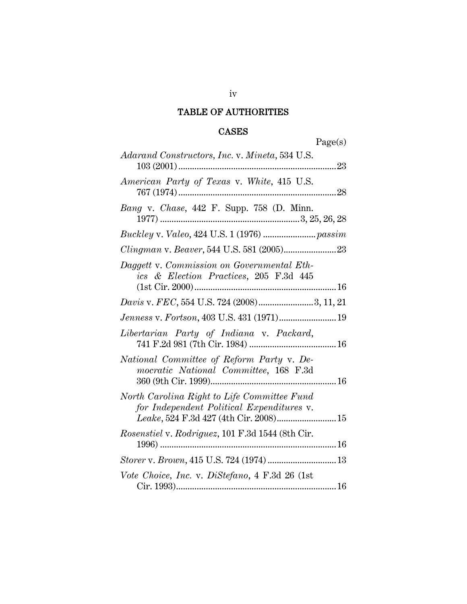## TABLE OF AUTHORITIES

## **CASES**

Page(s)

| <i>Adarand Constructors, Inc. v. Mineta, 534 U.S.</i><br>103 (2001)<br>23                                                          |
|------------------------------------------------------------------------------------------------------------------------------------|
| American Party of Texas v. White, 415 U.S.<br>767 (1974)                                                                           |
| Bang v. Chase, 442 F. Supp. 758 (D. Minn.                                                                                          |
|                                                                                                                                    |
|                                                                                                                                    |
| Daggett v. Commission on Governmental Eth-<br>ics & Election Practices, 205 F.3d 445                                               |
| <i>Davis v. FEC</i> , 554 U.S. 724 (2008)3, 11, 21                                                                                 |
| Jenness v. Fortson, 403 U.S. 431 (1971) 19                                                                                         |
| Libertarian Party of Indiana v. Packard,                                                                                           |
| National Committee of Reform Party v. De-<br>mocratic National Committee, 168 F.3d                                                 |
| North Carolina Right to Life Committee Fund<br>for Independent Political Expenditures v.<br>Leake, 524 F.3d 427 (4th Cir. 2008) 15 |
| Rosenstiel v. Rodriguez, 101 F.3d 1544 (8th Cir.                                                                                   |
| Storer v. Brown, 415 U.S. 724 (1974)  13                                                                                           |
| Vote Choice, Inc. v. DiStefano, 4 F.3d 26 (1st                                                                                     |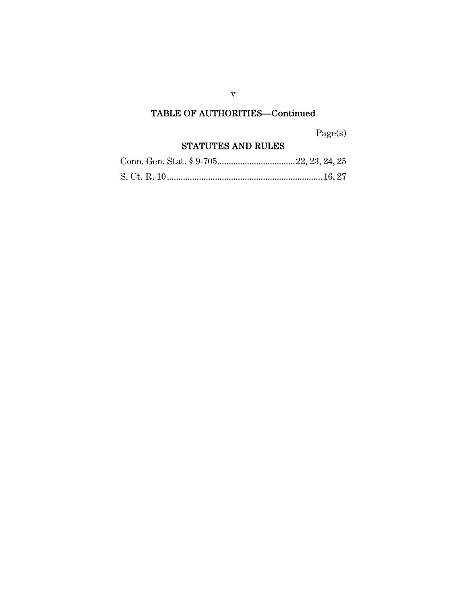## TABLE OF AUTHORITIES—Continued

Page(s)

## STATUTES AND RULES

v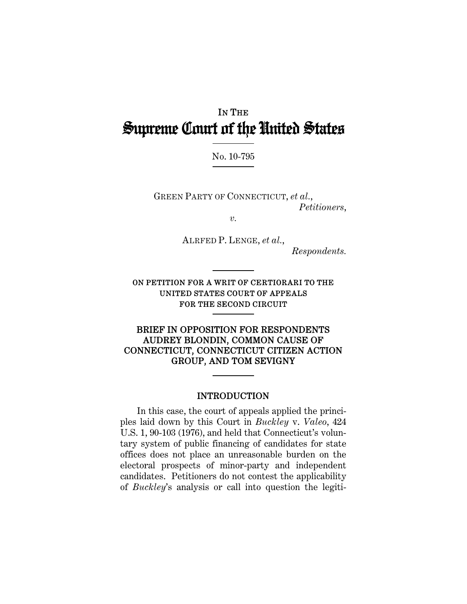## IN THE Supreme Court of the United States

No. 10-795

GREEN PARTY OF CONNECTICUT, *et al.*, *Petitioners*,

*v.* 

ALRFED P. LENGE, *et al.*,

*Respondents.*

ON PETITION FOR A WRIT OF CERTIORARI TO THE UNITED STATES COURT OF APPEALS FOR THE SECOND CIRCUIT

BRIEF IN OPPOSITION FOR RESPONDENTS AUDREY BLONDIN, COMMON CAUSE OF CONNECTICUT, CONNECTICUT CITIZEN ACTION GROUP, AND TOM SEVIGNY

#### INTRODUCTION

In this case, the court of appeals applied the principles laid down by this Court in *Buckley* v. *Valeo*, 424 U.S. 1, 90-103 (1976), and held that Connecticut's voluntary system of public financing of candidates for state offices does not place an unreasonable burden on the electoral prospects of minor-party and independent candidates. Petitioners do not contest the applicability of *Buckley*'s analysis or call into question the legiti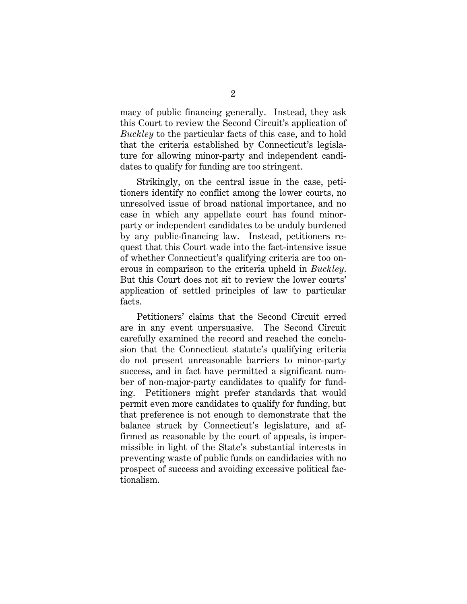macy of public financing generally. Instead, they ask this Court to review the Second Circuit's application of *Buckley* to the particular facts of this case, and to hold that the criteria established by Connecticut's legislature for allowing minor-party and independent candidates to qualify for funding are too stringent.

Strikingly, on the central issue in the case, petitioners identify no conflict among the lower courts, no unresolved issue of broad national importance, and no case in which any appellate court has found minorparty or independent candidates to be unduly burdened by any public-financing law. Instead, petitioners request that this Court wade into the fact-intensive issue of whether Connecticut's qualifying criteria are too onerous in comparison to the criteria upheld in *Buckley*. But this Court does not sit to review the lower courts' application of settled principles of law to particular facts.

Petitioners' claims that the Second Circuit erred are in any event unpersuasive. The Second Circuit carefully examined the record and reached the conclusion that the Connecticut statute's qualifying criteria do not present unreasonable barriers to minor-party success, and in fact have permitted a significant number of non-major-party candidates to qualify for funding. Petitioners might prefer standards that would permit even more candidates to qualify for funding, but that preference is not enough to demonstrate that the balance struck by Connecticut's legislature, and affirmed as reasonable by the court of appeals, is impermissible in light of the State's substantial interests in preventing waste of public funds on candidacies with no prospect of success and avoiding excessive political factionalism.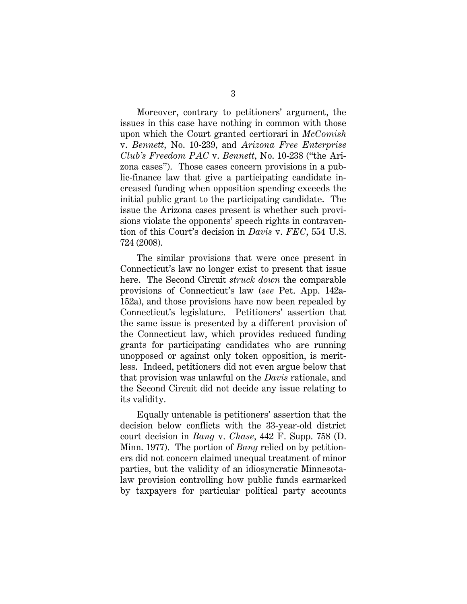Moreover, contrary to petitioners' argument, the issues in this case have nothing in common with those upon which the Court granted certiorari in *McComish* v. *Bennett*, No. 10-239, and *Arizona Free Enterprise Club's Freedom PAC* v. *Bennett*, No. 10-238 ("the Arizona cases"). Those cases concern provisions in a public-finance law that give a participating candidate increased funding when opposition spending exceeds the initial public grant to the participating candidate. The issue the Arizona cases present is whether such provisions violate the opponents' speech rights in contravention of this Court's decision in *Davis* v. *FEC*, 554 U.S. 724 (2008).

The similar provisions that were once present in Connecticut's law no longer exist to present that issue here. The Second Circuit *struck down* the comparable provisions of Connecticut's law (*see* Pet. App. 142a-152a), and those provisions have now been repealed by Connecticut's legislature. Petitioners' assertion that the same issue is presented by a different provision of the Connecticut law, which provides reduced funding grants for participating candidates who are running unopposed or against only token opposition, is meritless. Indeed, petitioners did not even argue below that that provision was unlawful on the *Davis* rationale, and the Second Circuit did not decide any issue relating to its validity.

Equally untenable is petitioners' assertion that the decision below conflicts with the 33-year-old district court decision in *Bang* v. *Chase*, 442 F. Supp. 758 (D. Minn. 1977). The portion of *Bang* relied on by petitioners did not concern claimed unequal treatment of minor parties, but the validity of an idiosyncratic Minnesotalaw provision controlling how public funds earmarked by taxpayers for particular political party accounts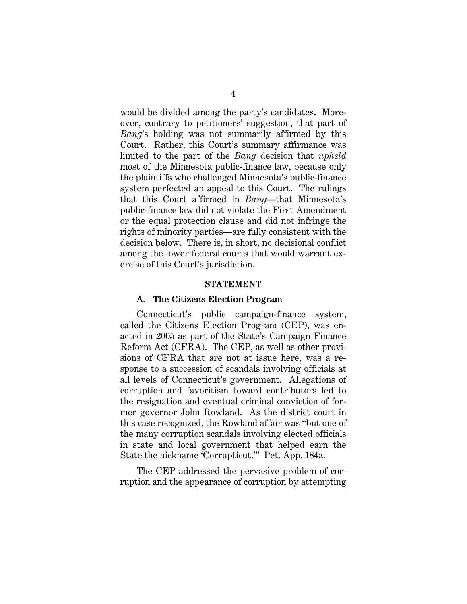would be divided among the party's candidates. Moreover, contrary to petitioners' suggestion, that part of *Bang*'s holding was not summarily affirmed by this Court. Rather, this Court's summary affirmance was limited to the part of the *Bang* decision that *upheld* most of the Minnesota public-finance law, because only the plaintiffs who challenged Minnesota's public-finance system perfected an appeal to this Court. The rulings that this Court affirmed in *Bang*—that Minnesota's public-finance law did not violate the First Amendment or the equal protection clause and did not infringe the rights of minority parties—are fully consistent with the decision below. There is, in short, no decisional conflict among the lower federal courts that would warrant exercise of this Court's jurisdiction.

#### STATEMENT

#### A. The Citizens Election Program

Connecticut's public campaign-finance system, called the Citizens Election Program (CEP), was enacted in 2005 as part of the State's Campaign Finance Reform Act (CFRA). The CEP, as well as other provisions of CFRA that are not at issue here, was a response to a succession of scandals involving officials at all levels of Connecticut's government. Allegations of corruption and favoritism toward contributors led to the resignation and eventual criminal conviction of former governor John Rowland. As the district court in this case recognized, the Rowland affair was "but one of the many corruption scandals involving elected officials in state and local government that helped earn the State the nickname 'Corrupticut.'" Pet. App. 184a.

The CEP addressed the pervasive problem of corruption and the appearance of corruption by attempting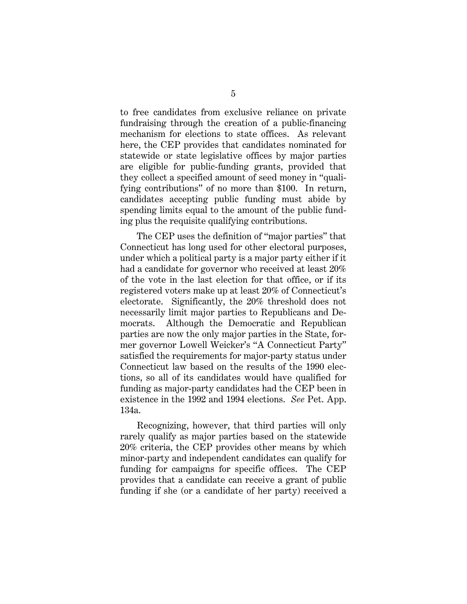to free candidates from exclusive reliance on private fundraising through the creation of a public-financing mechanism for elections to state offices. As relevant here, the CEP provides that candidates nominated for statewide or state legislative offices by major parties are eligible for public-funding grants, provided that they collect a specified amount of seed money in "qualifying contributions" of no more than \$100. In return, candidates accepting public funding must abide by spending limits equal to the amount of the public funding plus the requisite qualifying contributions.

The CEP uses the definition of "major parties" that Connecticut has long used for other electoral purposes, under which a political party is a major party either if it had a candidate for governor who received at least 20% of the vote in the last election for that office, or if its registered voters make up at least 20% of Connecticut's electorate. Significantly, the 20% threshold does not necessarily limit major parties to Republicans and Democrats. Although the Democratic and Republican parties are now the only major parties in the State, former governor Lowell Weicker's "A Connecticut Party" satisfied the requirements for major-party status under Connecticut law based on the results of the 1990 elections, so all of its candidates would have qualified for funding as major-party candidates had the CEP been in existence in the 1992 and 1994 elections. *See* Pet. App. 134a.

Recognizing, however, that third parties will only rarely qualify as major parties based on the statewide 20% criteria, the CEP provides other means by which minor-party and independent candidates can qualify for funding for campaigns for specific offices. The CEP provides that a candidate can receive a grant of public funding if she (or a candidate of her party) received a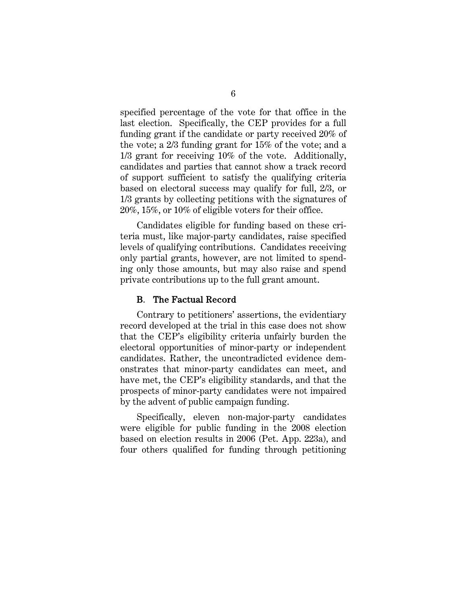specified percentage of the vote for that office in the last election. Specifically, the CEP provides for a full funding grant if the candidate or party received 20% of the vote; a 2/3 funding grant for 15% of the vote; and a 1/3 grant for receiving 10% of the vote. Additionally, candidates and parties that cannot show a track record of support sufficient to satisfy the qualifying criteria based on electoral success may qualify for full, 2/3, or 1/3 grants by collecting petitions with the signatures of 20%, 15%, or 10% of eligible voters for their office.

Candidates eligible for funding based on these criteria must, like major-party candidates, raise specified levels of qualifying contributions. Candidates receiving only partial grants, however, are not limited to spending only those amounts, but may also raise and spend private contributions up to the full grant amount.

#### B. The Factual Record

Contrary to petitioners' assertions, the evidentiary record developed at the trial in this case does not show that the CEP's eligibility criteria unfairly burden the electoral opportunities of minor-party or independent candidates. Rather, the uncontradicted evidence demonstrates that minor-party candidates can meet, and have met, the CEP's eligibility standards, and that the prospects of minor-party candidates were not impaired by the advent of public campaign funding.

Specifically, eleven non-major-party candidates were eligible for public funding in the 2008 election based on election results in 2006 (Pet. App. 223a), and four others qualified for funding through petitioning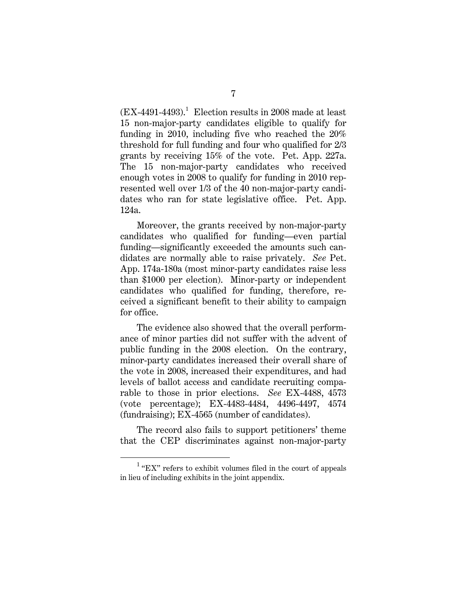$(EX-4491-4493).$ <sup>1</sup> Election results in 2008 made at least 15 non-major-party candidates eligible to qualify for funding in 2010, including five who reached the 20% threshold for full funding and four who qualified for 2/3 grants by receiving 15% of the vote. Pet. App. 227a. The 15 non-major-party candidates who received enough votes in 2008 to qualify for funding in 2010 represented well over 1/3 of the 40 non-major-party candidates who ran for state legislative office. Pet. App. 124a.

Moreover, the grants received by non-major-party candidates who qualified for funding—even partial funding—significantly exceeded the amounts such candidates are normally able to raise privately. *See* Pet. App. 174a-180a (most minor-party candidates raise less than \$1000 per election). Minor-party or independent candidates who qualified for funding, therefore, received a significant benefit to their ability to campaign for office.

The evidence also showed that the overall performance of minor parties did not suffer with the advent of public funding in the 2008 election. On the contrary, minor-party candidates increased their overall share of the vote in 2008, increased their expenditures, and had levels of ballot access and candidate recruiting comparable to those in prior elections. *See* EX-4488, 4573 (vote percentage); EX-4483-4484, 4496-4497, 4574 (fundraising); EX-4565 (number of candidates).

The record also fails to support petitioners' theme that the CEP discriminates against non-major-party

<sup>1</sup>  $1$  "EX" refers to exhibit volumes filed in the court of appeals in lieu of including exhibits in the joint appendix.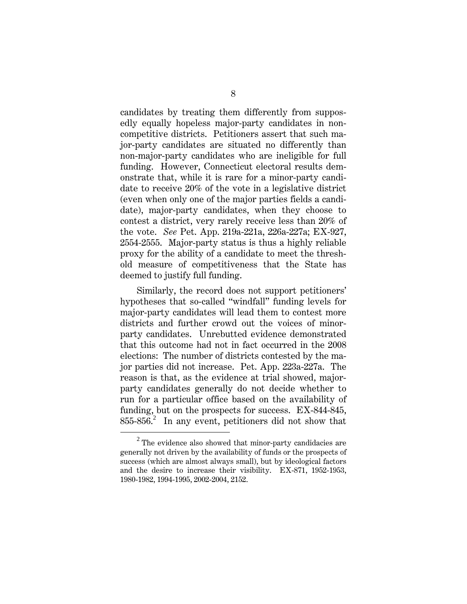candidates by treating them differently from supposedly equally hopeless major-party candidates in noncompetitive districts. Petitioners assert that such major-party candidates are situated no differently than non-major-party candidates who are ineligible for full funding. However, Connecticut electoral results demonstrate that, while it is rare for a minor-party candidate to receive 20% of the vote in a legislative district (even when only one of the major parties fields a candidate), major-party candidates, when they choose to contest a district, very rarely receive less than 20% of the vote. *See* Pet. App. 219a-221a, 226a-227a; EX-927, 2554-2555. Major-party status is thus a highly reliable proxy for the ability of a candidate to meet the threshold measure of competitiveness that the State has deemed to justify full funding.

Similarly, the record does not support petitioners' hypotheses that so-called "windfall" funding levels for major-party candidates will lead them to contest more districts and further crowd out the voices of minorparty candidates. Unrebutted evidence demonstrated that this outcome had not in fact occurred in the 2008 elections: The number of districts contested by the major parties did not increase. Pet. App. 223a-227a. The reason is that, as the evidence at trial showed, majorparty candidates generally do not decide whether to run for a particular office based on the availability of funding, but on the prospects for success. EX-844-845,  $855-856$ .<sup>2</sup> In any event, petitioners did not show that

<sup>2</sup>  $2$  The evidence also showed that minor-party candidacies are generally not driven by the availability of funds or the prospects of success (which are almost always small), but by ideological factors and the desire to increase their visibility. EX-871, 1952-1953, 1980-1982, 1994-1995, 2002-2004, 2152.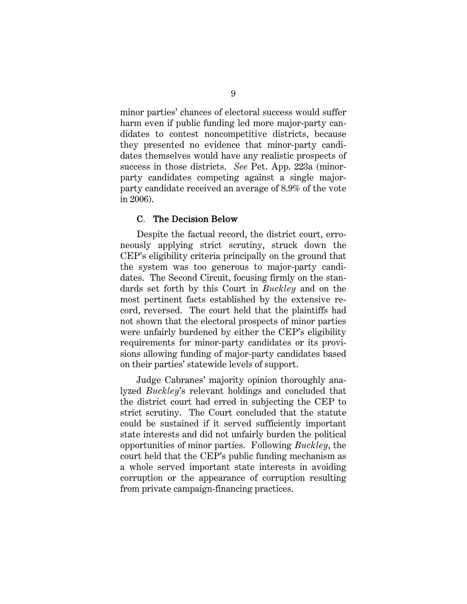minor parties' chances of electoral success would suffer harm even if public funding led more major-party candidates to contest noncompetitive districts, because they presented no evidence that minor-party candidates themselves would have any realistic prospects of success in those districts. *See* Pet. App. 223a (minorparty candidates competing against a single majorparty candidate received an average of 8.9% of the vote in 2006).

#### C. The Decision Below

Despite the factual record, the district court, erroneously applying strict scrutiny, struck down the CEP's eligibility criteria principally on the ground that the system was too generous to major-party candidates. The Second Circuit, focusing firmly on the standards set forth by this Court in *Buckley* and on the most pertinent facts established by the extensive record, reversed. The court held that the plaintiffs had not shown that the electoral prospects of minor parties were unfairly burdened by either the CEP's eligibility requirements for minor-party candidates or its provisions allowing funding of major-party candidates based on their parties' statewide levels of support.

Judge Cabranes' majority opinion thoroughly analyzed *Buckley*'s relevant holdings and concluded that the district court had erred in subjecting the CEP to strict scrutiny. The Court concluded that the statute could be sustained if it served sufficiently important state interests and did not unfairly burden the political opportunities of minor parties. Following *Buckley*, the court held that the CEP's public funding mechanism as a whole served important state interests in avoiding corruption or the appearance of corruption resulting from private campaign-financing practices.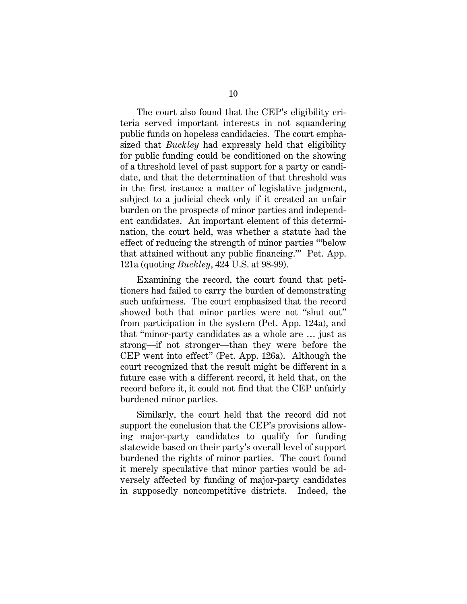The court also found that the CEP's eligibility criteria served important interests in not squandering public funds on hopeless candidacies. The court emphasized that *Buckley* had expressly held that eligibility for public funding could be conditioned on the showing of a threshold level of past support for a party or candidate, and that the determination of that threshold was in the first instance a matter of legislative judgment, subject to a judicial check only if it created an unfair burden on the prospects of minor parties and independent candidates. An important element of this determination, the court held, was whether a statute had the effect of reducing the strength of minor parties "'below that attained without any public financing.'" Pet. App. 121a (quoting *Buckley*, 424 U.S. at 98-99).

Examining the record, the court found that petitioners had failed to carry the burden of demonstrating such unfairness. The court emphasized that the record showed both that minor parties were not "shut out" from participation in the system (Pet. App. 124a), and that "minor-party candidates as a whole are … just as strong—if not stronger—than they were before the CEP went into effect" (Pet. App. 126a). Although the court recognized that the result might be different in a future case with a different record, it held that, on the record before it, it could not find that the CEP unfairly burdened minor parties.

Similarly, the court held that the record did not support the conclusion that the CEP's provisions allowing major-party candidates to qualify for funding statewide based on their party's overall level of support burdened the rights of minor parties. The court found it merely speculative that minor parties would be adversely affected by funding of major-party candidates in supposedly noncompetitive districts. Indeed, the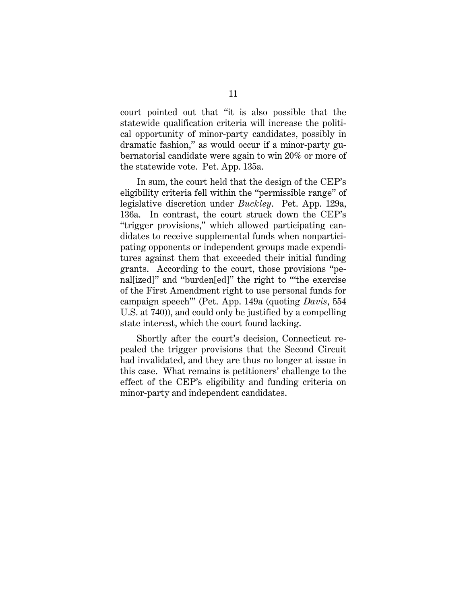court pointed out that "it is also possible that the statewide qualification criteria will increase the political opportunity of minor-party candidates, possibly in dramatic fashion," as would occur if a minor-party gubernatorial candidate were again to win 20% or more of the statewide vote. Pet. App. 135a.

In sum, the court held that the design of the CEP's eligibility criteria fell within the "permissible range" of legislative discretion under *Buckley*. Pet. App. 129a, 136a. In contrast, the court struck down the CEP's "trigger provisions," which allowed participating candidates to receive supplemental funds when nonparticipating opponents or independent groups made expenditures against them that exceeded their initial funding grants. According to the court, those provisions "penal[ized]" and "burden[ed]" the right to "'the exercise of the First Amendment right to use personal funds for campaign speech'" (Pet. App. 149a (quoting *Davis*, 554 U.S. at 740)), and could only be justified by a compelling state interest, which the court found lacking.

Shortly after the court's decision, Connecticut repealed the trigger provisions that the Second Circuit had invalidated, and they are thus no longer at issue in this case. What remains is petitioners' challenge to the effect of the CEP's eligibility and funding criteria on minor-party and independent candidates.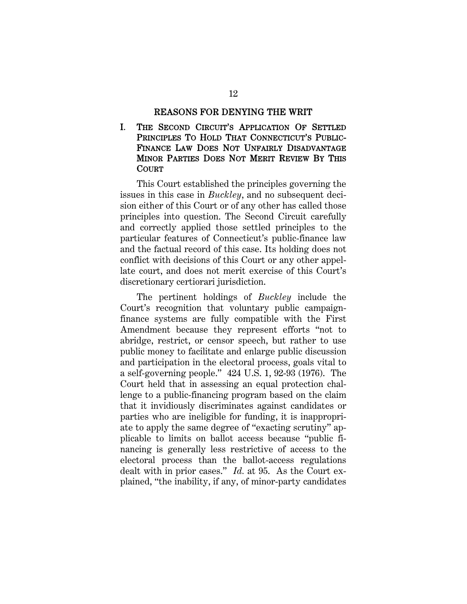#### REASONS FOR DENYING THE WRIT

I. THE SECOND CIRCUIT'S APPLICATION OF SETTLED PRINCIPLES TO HOLD THAT CONNECTICUT'S PUBLIC-FINANCE LAW DOES NOT UNFAIRLY DISADVANTAGE MINOR PARTIES DOES NOT MERIT REVIEW BY THIS **COURT** 

This Court established the principles governing the issues in this case in *Buckley*, and no subsequent decision either of this Court or of any other has called those principles into question. The Second Circuit carefully and correctly applied those settled principles to the particular features of Connecticut's public-finance law and the factual record of this case. Its holding does not conflict with decisions of this Court or any other appellate court, and does not merit exercise of this Court's discretionary certiorari jurisdiction.

The pertinent holdings of *Buckley* include the Court's recognition that voluntary public campaignfinance systems are fully compatible with the First Amendment because they represent efforts "not to abridge, restrict, or censor speech, but rather to use public money to facilitate and enlarge public discussion and participation in the electoral process, goals vital to a self-governing people." 424 U.S. 1, 92-93 (1976). The Court held that in assessing an equal protection challenge to a public-financing program based on the claim that it invidiously discriminates against candidates or parties who are ineligible for funding, it is inappropriate to apply the same degree of "exacting scrutiny" applicable to limits on ballot access because "public financing is generally less restrictive of access to the electoral process than the ballot-access regulations dealt with in prior cases." *Id.* at 95. As the Court explained, "the inability, if any, of minor-party candidates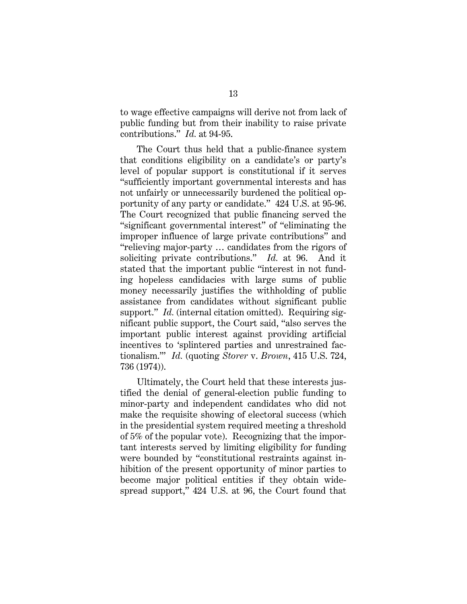to wage effective campaigns will derive not from lack of public funding but from their inability to raise private contributions." *Id.* at 94-95.

The Court thus held that a public-finance system that conditions eligibility on a candidate's or party's level of popular support is constitutional if it serves "sufficiently important governmental interests and has not unfairly or unnecessarily burdened the political opportunity of any party or candidate." 424 U.S. at 95-96. The Court recognized that public financing served the "significant governmental interest" of "eliminating the improper influence of large private contributions" and "relieving major-party … candidates from the rigors of soliciting private contributions." *Id.* at 96. And it stated that the important public "interest in not funding hopeless candidacies with large sums of public money necessarily justifies the withholding of public assistance from candidates without significant public support." *Id.* (internal citation omitted). Requiring significant public support, the Court said, "also serves the important public interest against providing artificial incentives to 'splintered parties and unrestrained factionalism.'" *Id.* (quoting *Storer* v. *Brown*, 415 U.S. 724, 736 (1974)).

Ultimately, the Court held that these interests justified the denial of general-election public funding to minor-party and independent candidates who did not make the requisite showing of electoral success (which in the presidential system required meeting a threshold of 5% of the popular vote). Recognizing that the important interests served by limiting eligibility for funding were bounded by "constitutional restraints against inhibition of the present opportunity of minor parties to become major political entities if they obtain widespread support," 424 U.S. at 96, the Court found that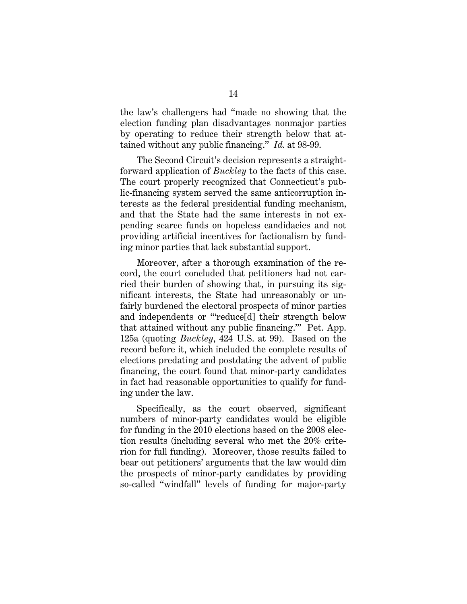the law's challengers had "made no showing that the election funding plan disadvantages nonmajor parties by operating to reduce their strength below that attained without any public financing." *Id.* at 98-99.

The Second Circuit's decision represents a straightforward application of *Buckley* to the facts of this case. The court properly recognized that Connecticut's public-financing system served the same anticorruption interests as the federal presidential funding mechanism, and that the State had the same interests in not expending scarce funds on hopeless candidacies and not providing artificial incentives for factionalism by funding minor parties that lack substantial support.

Moreover, after a thorough examination of the record, the court concluded that petitioners had not carried their burden of showing that, in pursuing its significant interests, the State had unreasonably or unfairly burdened the electoral prospects of minor parties and independents or "'reduce[d] their strength below that attained without any public financing.'" Pet. App. 125a (quoting *Buckley*, 424 U.S. at 99). Based on the record before it, which included the complete results of elections predating and postdating the advent of public financing, the court found that minor-party candidates in fact had reasonable opportunities to qualify for funding under the law.

Specifically, as the court observed, significant numbers of minor-party candidates would be eligible for funding in the 2010 elections based on the 2008 election results (including several who met the 20% criterion for full funding). Moreover, those results failed to bear out petitioners' arguments that the law would dim the prospects of minor-party candidates by providing so-called "windfall" levels of funding for major-party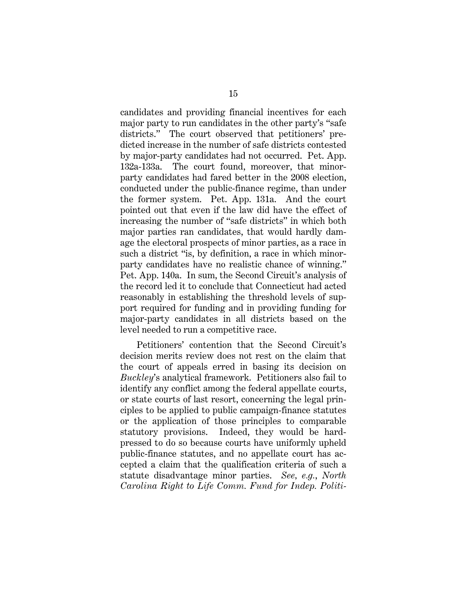candidates and providing financial incentives for each major party to run candidates in the other party's "safe districts." The court observed that petitioners' predicted increase in the number of safe districts contested by major-party candidates had not occurred. Pet. App. 132a-133a. The court found, moreover, that minorparty candidates had fared better in the 2008 election, conducted under the public-finance regime, than under the former system. Pet. App. 131a. And the court pointed out that even if the law did have the effect of increasing the number of "safe districts" in which both major parties ran candidates, that would hardly damage the electoral prospects of minor parties, as a race in such a district "is, by definition, a race in which minorparty candidates have no realistic chance of winning." Pet. App. 140a. In sum, the Second Circuit's analysis of the record led it to conclude that Connecticut had acted reasonably in establishing the threshold levels of support required for funding and in providing funding for major-party candidates in all districts based on the level needed to run a competitive race.

Petitioners' contention that the Second Circuit's decision merits review does not rest on the claim that the court of appeals erred in basing its decision on *Buckley*'s analytical framework. Petitioners also fail to identify any conflict among the federal appellate courts, or state courts of last resort, concerning the legal principles to be applied to public campaign-finance statutes or the application of those principles to comparable statutory provisions. Indeed, they would be hardpressed to do so because courts have uniformly upheld public-finance statutes, and no appellate court has accepted a claim that the qualification criteria of such a statute disadvantage minor parties. *See, e.g.*, *North Carolina Right to Life Comm. Fund for Indep. Politi-*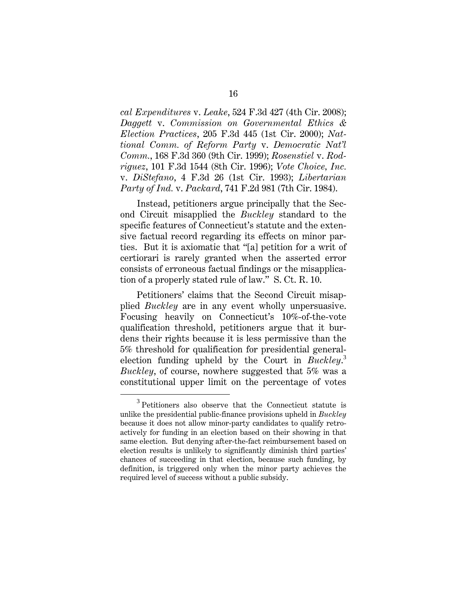*cal Expenditures* v. *Leake*, 524 F.3d 427 (4th Cir. 2008); *Daggett* v. *Commission on Governmental Ethics & Election Practices*, 205 F.3d 445 (1st Cir. 2000); *Nattional Comm. of Reform Party* v. *Democratic Nat'l Comm.*, 168 F.3d 360 (9th Cir. 1999); *Rosenstiel* v. *Rodriguez*, 101 F.3d 1544 (8th Cir. 1996); *Vote Choice, Inc.* v. *DiStefano*, 4 F.3d 26 (1st Cir. 1993); *Libertarian Party of Ind.* v. *Packard*, 741 F.2d 981 (7th Cir. 1984).

Instead, petitioners argue principally that the Second Circuit misapplied the *Buckley* standard to the specific features of Connecticut's statute and the extensive factual record regarding its effects on minor parties. But it is axiomatic that "[a] petition for a writ of certiorari is rarely granted when the asserted error consists of erroneous factual findings or the misapplication of a properly stated rule of law." S. Ct. R. 10.

Petitioners' claims that the Second Circuit misapplied *Buckley* are in any event wholly unpersuasive. Focusing heavily on Connecticut's 10%-of-the-vote qualification threshold, petitioners argue that it burdens their rights because it is less permissive than the 5% threshold for qualification for presidential generalelection funding upheld by the Court in *Buckley*. 3 *Buckley*, of course, nowhere suggested that 5% was a constitutional upper limit on the percentage of votes

 $\overline{\phantom{0}3}$  $3$  Petitioners also observe that the Connecticut statute is unlike the presidential public-finance provisions upheld in *Buckley* because it does not allow minor-party candidates to qualify retroactively for funding in an election based on their showing in that same election. But denying after-the-fact reimbursement based on election results is unlikely to significantly diminish third parties' chances of succeeding in that election, because such funding, by definition, is triggered only when the minor party achieves the required level of success without a public subsidy.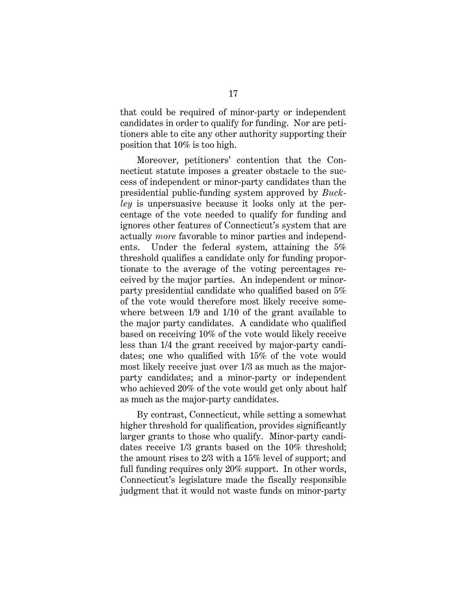that could be required of minor-party or independent candidates in order to qualify for funding. Nor are petitioners able to cite any other authority supporting their position that 10% is too high.

Moreover, petitioners' contention that the Connecticut statute imposes a greater obstacle to the success of independent or minor-party candidates than the presidential public-funding system approved by *Buckley* is unpersuasive because it looks only at the percentage of the vote needed to qualify for funding and ignores other features of Connecticut's system that are actually *more* favorable to minor parties and independents. Under the federal system, attaining the 5% threshold qualifies a candidate only for funding proportionate to the average of the voting percentages received by the major parties. An independent or minorparty presidential candidate who qualified based on 5% of the vote would therefore most likely receive somewhere between 1/9 and 1/10 of the grant available to the major party candidates. A candidate who qualified based on receiving 10% of the vote would likely receive less than 1/4 the grant received by major-party candidates; one who qualified with 15% of the vote would most likely receive just over 1/3 as much as the majorparty candidates; and a minor-party or independent who achieved 20% of the vote would get only about half as much as the major-party candidates.

By contrast, Connecticut, while setting a somewhat higher threshold for qualification, provides significantly larger grants to those who qualify. Minor-party candidates receive 1/3 grants based on the 10% threshold; the amount rises to 2/3 with a 15% level of support; and full funding requires only 20% support. In other words, Connecticut's legislature made the fiscally responsible judgment that it would not waste funds on minor-party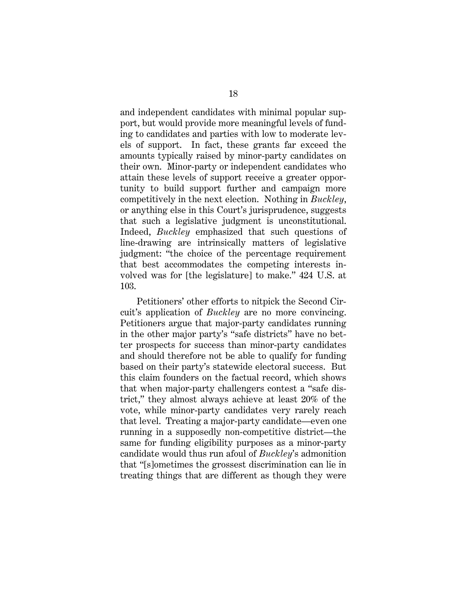and independent candidates with minimal popular support, but would provide more meaningful levels of funding to candidates and parties with low to moderate levels of support. In fact, these grants far exceed the amounts typically raised by minor-party candidates on their own. Minor-party or independent candidates who attain these levels of support receive a greater opportunity to build support further and campaign more competitively in the next election. Nothing in *Buckley*, or anything else in this Court's jurisprudence, suggests that such a legislative judgment is unconstitutional. Indeed, *Buckley* emphasized that such questions of line-drawing are intrinsically matters of legislative judgment: "the choice of the percentage requirement that best accommodates the competing interests involved was for [the legislature] to make." 424 U.S. at 103.

Petitioners' other efforts to nitpick the Second Circuit's application of *Buckley* are no more convincing. Petitioners argue that major-party candidates running in the other major party's "safe districts" have no better prospects for success than minor-party candidates and should therefore not be able to qualify for funding based on their party's statewide electoral success. But this claim founders on the factual record, which shows that when major-party challengers contest a "safe district," they almost always achieve at least 20% of the vote, while minor-party candidates very rarely reach that level. Treating a major-party candidate—even one running in a supposedly non-competitive district—the same for funding eligibility purposes as a minor-party candidate would thus run afoul of *Buckley*'s admonition that "[s]ometimes the grossest discrimination can lie in treating things that are different as though they were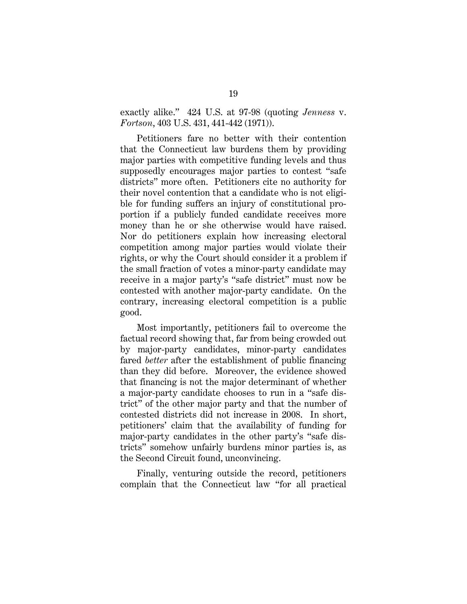exactly alike." 424 U.S. at 97-98 (quoting *Jenness* v. *Fortson*, 403 U.S. 431, 441-442 (1971)).

Petitioners fare no better with their contention that the Connecticut law burdens them by providing major parties with competitive funding levels and thus supposedly encourages major parties to contest "safe districts" more often. Petitioners cite no authority for their novel contention that a candidate who is not eligible for funding suffers an injury of constitutional proportion if a publicly funded candidate receives more money than he or she otherwise would have raised. Nor do petitioners explain how increasing electoral competition among major parties would violate their rights, or why the Court should consider it a problem if the small fraction of votes a minor-party candidate may receive in a major party's "safe district" must now be contested with another major-party candidate. On the contrary, increasing electoral competition is a public good.

Most importantly, petitioners fail to overcome the factual record showing that, far from being crowded out by major-party candidates, minor-party candidates fared *better* after the establishment of public financing than they did before. Moreover, the evidence showed that financing is not the major determinant of whether a major-party candidate chooses to run in a "safe district" of the other major party and that the number of contested districts did not increase in 2008. In short, petitioners' claim that the availability of funding for major-party candidates in the other party's "safe districts" somehow unfairly burdens minor parties is, as the Second Circuit found, unconvincing.

Finally, venturing outside the record, petitioners complain that the Connecticut law "for all practical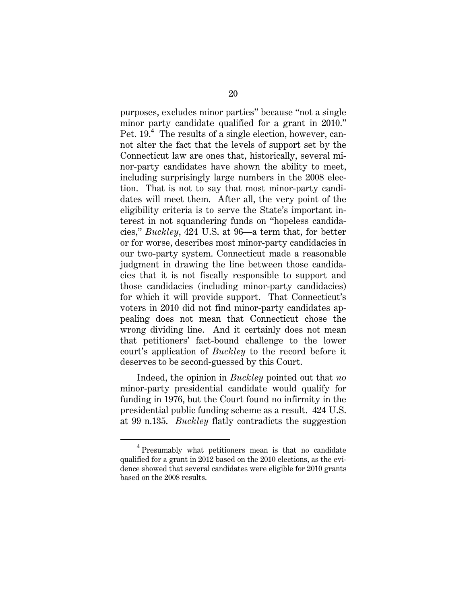purposes, excludes minor parties" because "not a single minor party candidate qualified for a grant in 2010." Pet. 19.<sup>4</sup> The results of a single election, however, cannot alter the fact that the levels of support set by the Connecticut law are ones that, historically, several minor-party candidates have shown the ability to meet, including surprisingly large numbers in the 2008 election. That is not to say that most minor-party candidates will meet them. After all, the very point of the eligibility criteria is to serve the State's important interest in not squandering funds on "hopeless candidacies," *Buckley*, 424 U.S. at 96—a term that, for better or for worse, describes most minor-party candidacies in our two-party system. Connecticut made a reasonable judgment in drawing the line between those candidacies that it is not fiscally responsible to support and those candidacies (including minor-party candidacies) for which it will provide support. That Connecticut's voters in 2010 did not find minor-party candidates appealing does not mean that Connecticut chose the wrong dividing line. And it certainly does not mean that petitioners' fact-bound challenge to the lower court's application of *Buckley* to the record before it deserves to be second-guessed by this Court.

Indeed, the opinion in *Buckley* pointed out that *no* minor-party presidential candidate would qualify for funding in 1976, but the Court found no infirmity in the presidential public funding scheme as a result. 424 U.S. at 99 n.135. *Buckley* flatly contradicts the suggestion

 $\overline{4}$ <sup>4</sup> Presumably what petitioners mean is that no candidate qualified for a grant in 2012 based on the 2010 elections, as the evidence showed that several candidates were eligible for 2010 grants based on the 2008 results.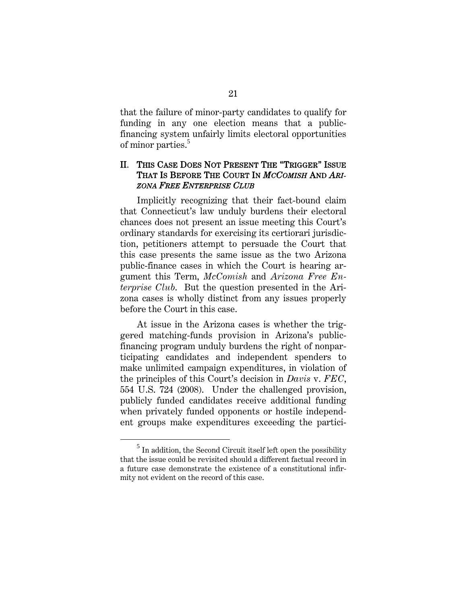that the failure of minor-party candidates to qualify for funding in any one election means that a publicfinancing system unfairly limits electoral opportunities of minor parties.<sup>5</sup>

## II. THIS CASE DOES NOT PRESENT THE "TRIGGER" ISSUE THAT IS BEFORE THE COURT IN *MCCOMISH* AND *ARI-ZONA FREE ENTERPRISE CLUB*

Implicitly recognizing that their fact-bound claim that Connecticut's law unduly burdens their electoral chances does not present an issue meeting this Court's ordinary standards for exercising its certiorari jurisdiction, petitioners attempt to persuade the Court that this case presents the same issue as the two Arizona public-finance cases in which the Court is hearing argument this Term, *McComish* and *Arizona Free Enterprise Club*. But the question presented in the Arizona cases is wholly distinct from any issues properly before the Court in this case.

At issue in the Arizona cases is whether the triggered matching-funds provision in Arizona's publicfinancing program unduly burdens the right of nonparticipating candidates and independent spenders to make unlimited campaign expenditures, in violation of the principles of this Court's decision in *Davis* v. *FEC*, 554 U.S. 724 (2008). Under the challenged provision, publicly funded candidates receive additional funding when privately funded opponents or hostile independent groups make expenditures exceeding the partici-

 $rac{1}{5}$  $<sup>5</sup>$  In addition, the Second Circuit itself left open the possibility</sup> that the issue could be revisited should a different factual record in a future case demonstrate the existence of a constitutional infirmity not evident on the record of this case.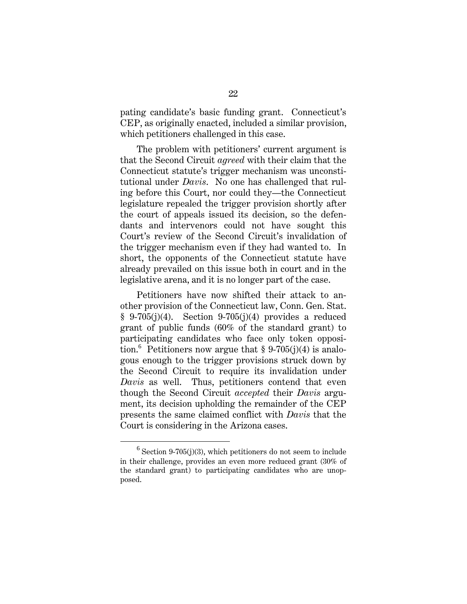pating candidate's basic funding grant. Connecticut's CEP, as originally enacted, included a similar provision, which petitioners challenged in this case.

The problem with petitioners' current argument is that the Second Circuit *agreed* with their claim that the Connecticut statute's trigger mechanism was unconstitutional under *Davis*. No one has challenged that ruling before this Court, nor could they—the Connecticut legislature repealed the trigger provision shortly after the court of appeals issued its decision, so the defendants and intervenors could not have sought this Court's review of the Second Circuit's invalidation of the trigger mechanism even if they had wanted to. In short, the opponents of the Connecticut statute have already prevailed on this issue both in court and in the legislative arena, and it is no longer part of the case.

Petitioners have now shifted their attack to another provision of the Connecticut law, Conn. Gen. Stat.  $§ 9-705(j)(4)$ . Section 9-705(j)(4) provides a reduced grant of public funds (60% of the standard grant) to participating candidates who face only token opposition.<sup>6</sup> Petitioners now argue that § 9-705(j)(4) is analogous enough to the trigger provisions struck down by the Second Circuit to require its invalidation under *Davis* as well. Thus, petitioners contend that even though the Second Circuit *accepted* their *Davis* argument, its decision upholding the remainder of the CEP presents the same claimed conflict with *Davis* that the Court is considering in the Arizona cases.

 $\overline{6}$  $^6$  Section 9-705(j)(3), which petitioners do not seem to include in their challenge, provides an even more reduced grant (30% of the standard grant) to participating candidates who are unopposed.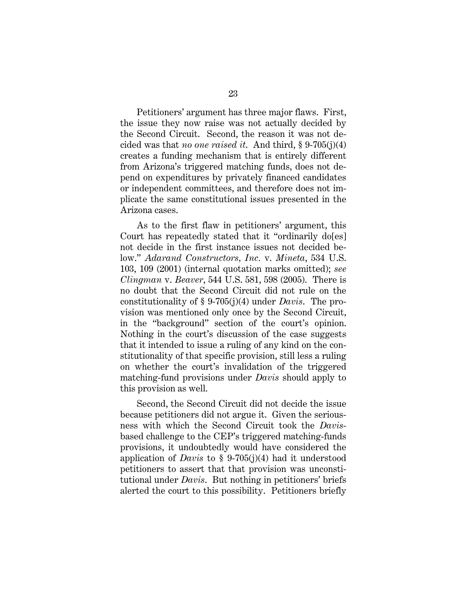Petitioners' argument has three major flaws. First, the issue they now raise was not actually decided by the Second Circuit. Second, the reason it was not decided was that *no one raised it*. And third, § 9-705(j)(4) creates a funding mechanism that is entirely different from Arizona's triggered matching funds, does not depend on expenditures by privately financed candidates or independent committees, and therefore does not implicate the same constitutional issues presented in the Arizona cases.

As to the first flaw in petitioners' argument, this Court has repeatedly stated that it "ordinarily do[es] not decide in the first instance issues not decided below." *Adarand Constructors, Inc.* v. *Mineta*, 534 U.S. 103, 109 (2001) (internal quotation marks omitted); *see Clingman* v. *Beaver*, 544 U.S. 581, 598 (2005). There is no doubt that the Second Circuit did not rule on the constitutionality of § 9-705(j)(4) under *Davis*. The provision was mentioned only once by the Second Circuit, in the "background" section of the court's opinion. Nothing in the court's discussion of the case suggests that it intended to issue a ruling of any kind on the constitutionality of that specific provision, still less a ruling on whether the court's invalidation of the triggered matching-fund provisions under *Davis* should apply to this provision as well.

Second, the Second Circuit did not decide the issue because petitioners did not argue it. Given the seriousness with which the Second Circuit took the *Davis*based challenge to the CEP's triggered matching-funds provisions, it undoubtedly would have considered the application of *Davis* to § 9-705(j)(4) had it understood petitioners to assert that that provision was unconstitutional under *Davis*. But nothing in petitioners' briefs alerted the court to this possibility. Petitioners briefly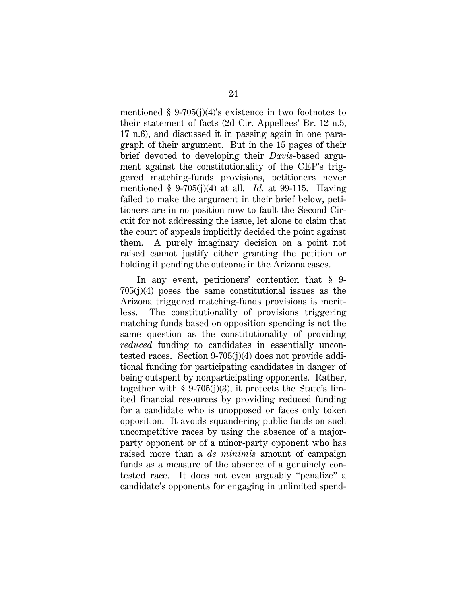mentioned  $\S 9-705(j)(4)$ 's existence in two footnotes to their statement of facts (2d Cir. Appellees' Br. 12 n.5, 17 n.6), and discussed it in passing again in one paragraph of their argument. But in the 15 pages of their brief devoted to developing their *Davis*-based argument against the constitutionality of the CEP's triggered matching-funds provisions, petitioners never mentioned § 9-705(j)(4) at all. *Id.* at 99-115. Having failed to make the argument in their brief below, petitioners are in no position now to fault the Second Circuit for not addressing the issue, let alone to claim that the court of appeals implicitly decided the point against them. A purely imaginary decision on a point not raised cannot justify either granting the petition or holding it pending the outcome in the Arizona cases.

In any event, petitioners' contention that § 9- 705(j)(4) poses the same constitutional issues as the Arizona triggered matching-funds provisions is meritless. The constitutionality of provisions triggering matching funds based on opposition spending is not the same question as the constitutionality of providing *reduced* funding to candidates in essentially uncontested races. Section 9-705(j)(4) does not provide additional funding for participating candidates in danger of being outspent by nonparticipating opponents. Rather, together with  $\S 9-705(j)(3)$ , it protects the State's limited financial resources by providing reduced funding for a candidate who is unopposed or faces only token opposition. It avoids squandering public funds on such uncompetitive races by using the absence of a majorparty opponent or of a minor-party opponent who has raised more than a *de minimis* amount of campaign funds as a measure of the absence of a genuinely contested race. It does not even arguably "penalize" a candidate's opponents for engaging in unlimited spend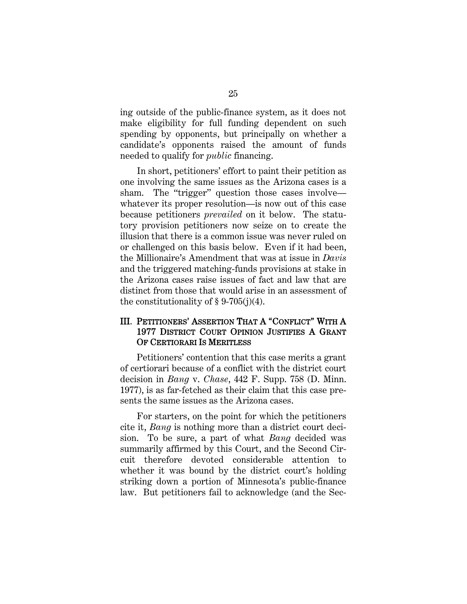ing outside of the public-finance system, as it does not make eligibility for full funding dependent on such spending by opponents, but principally on whether a candidate's opponents raised the amount of funds needed to qualify for *public* financing.

In short, petitioners' effort to paint their petition as one involving the same issues as the Arizona cases is a sham. The "trigger" question those cases involve whatever its proper resolution—is now out of this case because petitioners *prevailed* on it below. The statutory provision petitioners now seize on to create the illusion that there is a common issue was never ruled on or challenged on this basis below. Even if it had been, the Millionaire's Amendment that was at issue in *Davis* and the triggered matching-funds provisions at stake in the Arizona cases raise issues of fact and law that are distinct from those that would arise in an assessment of the constitutionality of  $\S 9-705(j)(4)$ .

## III. PETITIONERS' ASSERTION THAT A "CONFLICT" WITH A 1977 DISTRICT COURT OPINION JUSTIFIES A GRANT OF CERTIORARI IS MERITLESS

Petitioners' contention that this case merits a grant of certiorari because of a conflict with the district court decision in *Bang* v. *Chase*, 442 F. Supp. 758 (D. Minn. 1977), is as far-fetched as their claim that this case presents the same issues as the Arizona cases.

For starters, on the point for which the petitioners cite it, *Bang* is nothing more than a district court decision. To be sure, a part of what *Bang* decided was summarily affirmed by this Court, and the Second Circuit therefore devoted considerable attention to whether it was bound by the district court's holding striking down a portion of Minnesota's public-finance law. But petitioners fail to acknowledge (and the Sec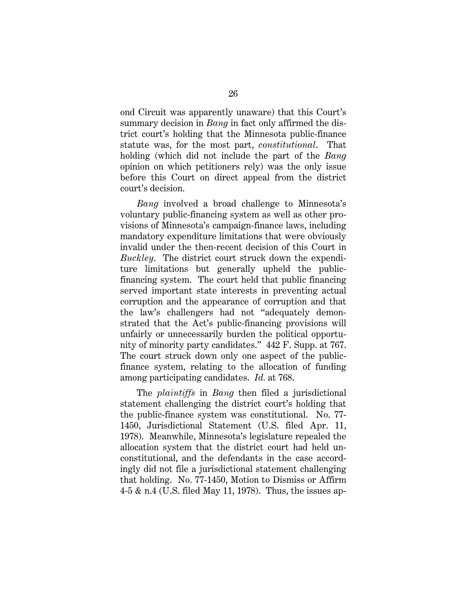ond Circuit was apparently unaware) that this Court's summary decision in *Bang* in fact only affirmed the district court's holding that the Minnesota public-finance statute was, for the most part, *constitutional*. That holding (which did not include the part of the *Bang* opinion on which petitioners rely) was the only issue before this Court on direct appeal from the district court's decision.

*Bang* involved a broad challenge to Minnesota's voluntary public-financing system as well as other provisions of Minnesota's campaign-finance laws, including mandatory expenditure limitations that were obviously invalid under the then-recent decision of this Court in *Buckley*. The district court struck down the expenditure limitations but generally upheld the publicfinancing system. The court held that public financing served important state interests in preventing actual corruption and the appearance of corruption and that the law's challengers had not "adequately demonstrated that the Act's public-financing provisions will unfairly or unnecessarily burden the political opportunity of minority party candidates." 442 F. Supp. at 767. The court struck down only one aspect of the publicfinance system, relating to the allocation of funding among participating candidates. *Id.* at 768.

The *plaintiffs* in *Bang* then filed a jurisdictional statement challenging the district court's holding that the public-finance system was constitutional. No. 77- 1450, Jurisdictional Statement (U.S. filed Apr. 11, 1978). Meanwhile, Minnesota's legislature repealed the allocation system that the district court had held unconstitutional, and the defendants in the case accordingly did not file a jurisdictional statement challenging that holding. No. 77-1450, Motion to Dismiss or Affirm 4-5 & n.4 (U.S. filed May 11, 1978). Thus, the issues ap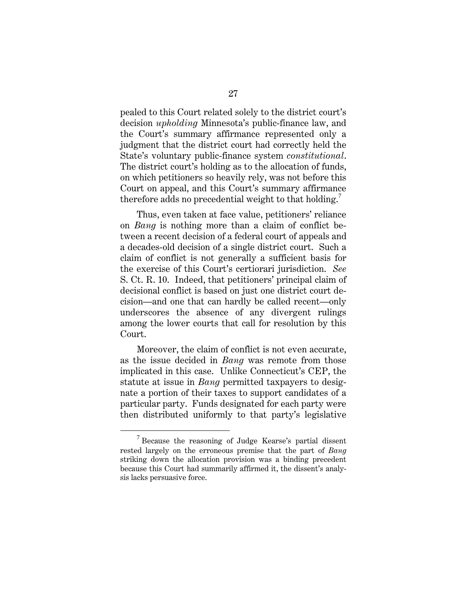pealed to this Court related solely to the district court's decision *upholding* Minnesota's public-finance law, and the Court's summary affirmance represented only a judgment that the district court had correctly held the State's voluntary public-finance system *constitutional*. The district court's holding as to the allocation of funds, on which petitioners so heavily rely, was not before this Court on appeal, and this Court's summary affirmance therefore adds no precedential weight to that holding.<sup>7</sup>

Thus, even taken at face value, petitioners' reliance on *Bang* is nothing more than a claim of conflict between a recent decision of a federal court of appeals and a decades-old decision of a single district court. Such a claim of conflict is not generally a sufficient basis for the exercise of this Court's certiorari jurisdiction. *See* S. Ct. R. 10. Indeed, that petitioners' principal claim of decisional conflict is based on just one district court decision—and one that can hardly be called recent—only underscores the absence of any divergent rulings among the lower courts that call for resolution by this Court.

Moreover, the claim of conflict is not even accurate, as the issue decided in *Bang* was remote from those implicated in this case. Unlike Connecticut's CEP, the statute at issue in *Bang* permitted taxpayers to designate a portion of their taxes to support candidates of a particular party. Funds designated for each party were then distributed uniformly to that party's legislative

 $\overline{7}$  $17$  Because the reasoning of Judge Kearse's partial dissent rested largely on the erroneous premise that the part of *Bang* striking down the allocation provision was a binding precedent because this Court had summarily affirmed it, the dissent's analysis lacks persuasive force.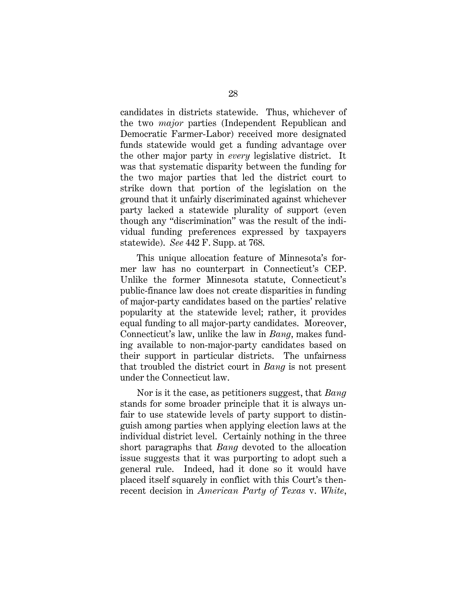candidates in districts statewide. Thus, whichever of the two *major* parties (Independent Republican and Democratic Farmer-Labor) received more designated funds statewide would get a funding advantage over the other major party in *every* legislative district. It was that systematic disparity between the funding for the two major parties that led the district court to strike down that portion of the legislation on the ground that it unfairly discriminated against whichever party lacked a statewide plurality of support (even though any "discrimination" was the result of the individual funding preferences expressed by taxpayers statewide). *See* 442 F. Supp. at 768.

This unique allocation feature of Minnesota's former law has no counterpart in Connecticut's CEP. Unlike the former Minnesota statute, Connecticut's public-finance law does not create disparities in funding of major-party candidates based on the parties' relative popularity at the statewide level; rather, it provides equal funding to all major-party candidates. Moreover, Connecticut's law, unlike the law in *Bang*, makes funding available to non-major-party candidates based on their support in particular districts. The unfairness that troubled the district court in *Bang* is not present under the Connecticut law.

Nor is it the case, as petitioners suggest, that *Bang* stands for some broader principle that it is always unfair to use statewide levels of party support to distinguish among parties when applying election laws at the individual district level. Certainly nothing in the three short paragraphs that *Bang* devoted to the allocation issue suggests that it was purporting to adopt such a general rule. Indeed, had it done so it would have placed itself squarely in conflict with this Court's thenrecent decision in *American Party of Texas* v. *White*,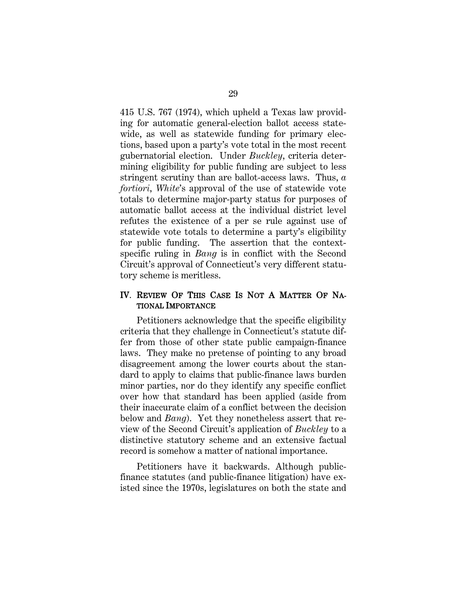415 U.S. 767 (1974), which upheld a Texas law providing for automatic general-election ballot access statewide, as well as statewide funding for primary elections, based upon a party's vote total in the most recent gubernatorial election. Under *Buckley*, criteria determining eligibility for public funding are subject to less stringent scrutiny than are ballot-access laws. Thus, *a fortiori*, *White*'s approval of the use of statewide vote totals to determine major-party status for purposes of automatic ballot access at the individual district level refutes the existence of a per se rule against use of statewide vote totals to determine a party's eligibility for public funding. The assertion that the contextspecific ruling in *Bang* is in conflict with the Second Circuit's approval of Connecticut's very different statutory scheme is meritless.

## IV. REVIEW OF THIS CASE IS NOT A MATTER OF NA-TIONAL IMPORTANCE

Petitioners acknowledge that the specific eligibility criteria that they challenge in Connecticut's statute differ from those of other state public campaign-finance laws. They make no pretense of pointing to any broad disagreement among the lower courts about the standard to apply to claims that public-finance laws burden minor parties, nor do they identify any specific conflict over how that standard has been applied (aside from their inaccurate claim of a conflict between the decision below and *Bang*). Yet they nonetheless assert that review of the Second Circuit's application of *Buckley* to a distinctive statutory scheme and an extensive factual record is somehow a matter of national importance.

Petitioners have it backwards. Although publicfinance statutes (and public-finance litigation) have existed since the 1970s, legislatures on both the state and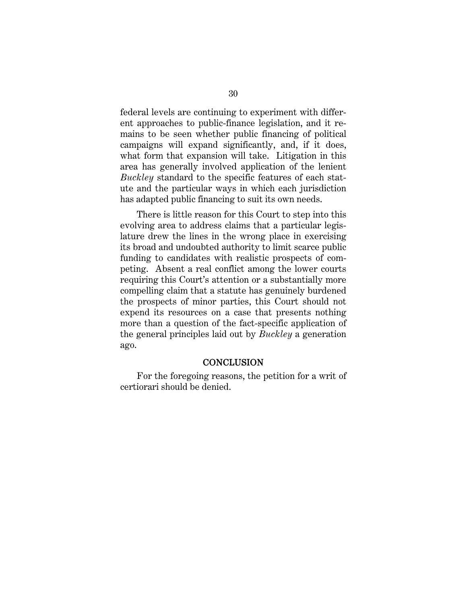federal levels are continuing to experiment with different approaches to public-finance legislation, and it remains to be seen whether public financing of political campaigns will expand significantly, and, if it does, what form that expansion will take. Litigation in this area has generally involved application of the lenient *Buckley* standard to the specific features of each statute and the particular ways in which each jurisdiction has adapted public financing to suit its own needs.

There is little reason for this Court to step into this evolving area to address claims that a particular legislature drew the lines in the wrong place in exercising its broad and undoubted authority to limit scarce public funding to candidates with realistic prospects of competing. Absent a real conflict among the lower courts requiring this Court's attention or a substantially more compelling claim that a statute has genuinely burdened the prospects of minor parties, this Court should not expend its resources on a case that presents nothing more than a question of the fact-specific application of the general principles laid out by *Buckley* a generation ago.

#### **CONCLUSION**

For the foregoing reasons, the petition for a writ of certiorari should be denied.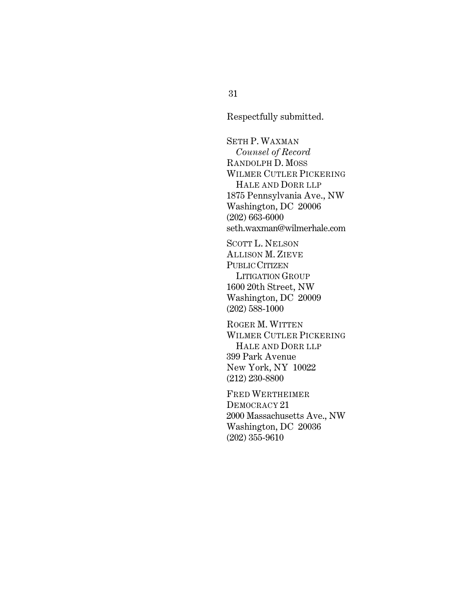Respectfully submitted.

 SETH P. WAXMAN *Counsel of Record* RANDOLPH D. MOSS WILMER CUTLER PICKERING HALE AND DORR LLP 1875 Pennsylvania Ave., NW Washington, DC 20006 (202) 663-6000 seth.waxman@wilmerhale.com

SCOTT L. NELSON ALLISON M. ZIEVE PUBLIC CITIZEN LITIGATION GROUP 1600 20th Street, NW Washington, DC 20009 (202) 588-1000

ROGER M. WITTEN WILMER CUTLER PICKERING HALE AND DORR LLP 399 Park Avenue New York, NY 10022 (212) 230-8800

FRED WERTHEIMER DEMOCRACY 21 2000 Massachusetts Ave., NW Washington, DC 20036 (202) 355-9610